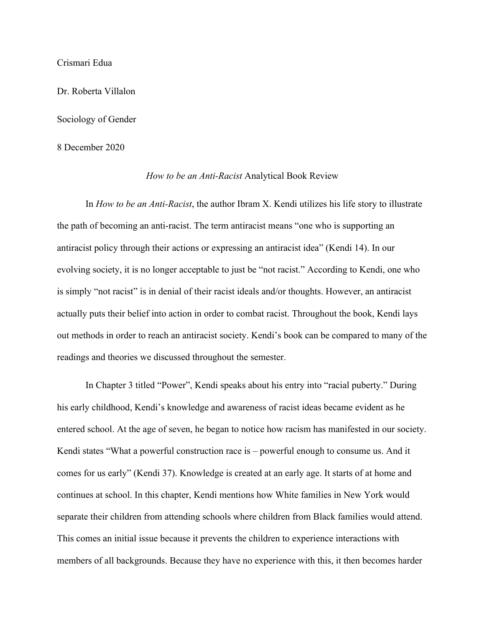## Crismari Edua

Dr. Roberta Villalon

Sociology of Gender

8 December 2020

## *How to be an Anti-Racist* Analytical Book Review

In *How to be an Anti-Racist*, the author Ibram X. Kendi utilizes his life story to illustrate the path of becoming an anti-racist. The term antiracist means "one who is supporting an antiracist policy through their actions or expressing an antiracist idea" (Kendi 14). In our evolving society, it is no longer acceptable to just be "not racist." According to Kendi, one who is simply "not racist" is in denial of their racist ideals and/or thoughts. However, an antiracist actually puts their belief into action in order to combat racist. Throughout the book, Kendi lays out methods in order to reach an antiracist society. Kendi's book can be compared to many of the readings and theories we discussed throughout the semester.

In Chapter 3 titled "Power", Kendi speaks about his entry into "racial puberty." During his early childhood, Kendi's knowledge and awareness of racist ideas became evident as he entered school. At the age of seven, he began to notice how racism has manifested in our society. Kendi states "What a powerful construction race is – powerful enough to consume us. And it comes for us early" (Kendi 37). Knowledge is created at an early age. It starts of at home and continues at school. In this chapter, Kendi mentions how White families in New York would separate their children from attending schools where children from Black families would attend. This comes an initial issue because it prevents the children to experience interactions with members of all backgrounds. Because they have no experience with this, it then becomes harder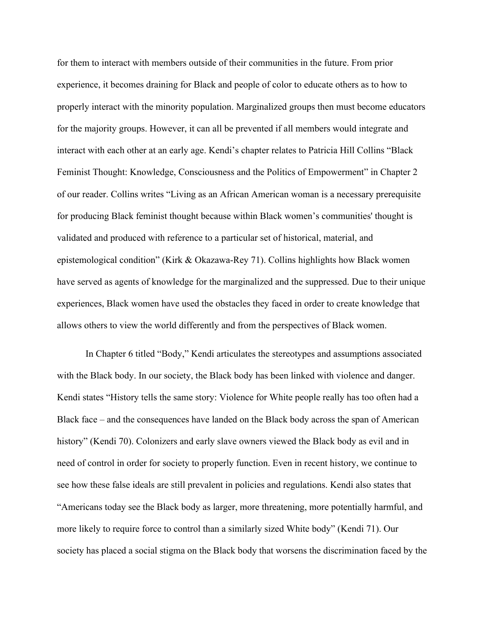for them to interact with members outside of their communities in the future. From prior experience, it becomes draining for Black and people of color to educate others as to how to properly interact with the minority population. Marginalized groups then must become educators for the majority groups. However, it can all be prevented if all members would integrate and interact with each other at an early age. Kendi's chapter relates to Patricia Hill Collins "Black Feminist Thought: Knowledge, Consciousness and the Politics of Empowerment" in Chapter 2 of our reader. Collins writes "Living as an African American woman is a necessary prerequisite for producing Black feminist thought because within Black women's communities' thought is validated and produced with reference to a particular set of historical, material, and epistemological condition" (Kirk & Okazawa-Rey 71). Collins highlights how Black women have served as agents of knowledge for the marginalized and the suppressed. Due to their unique experiences, Black women have used the obstacles they faced in order to create knowledge that allows others to view the world differently and from the perspectives of Black women.

In Chapter 6 titled "Body," Kendi articulates the stereotypes and assumptions associated with the Black body. In our society, the Black body has been linked with violence and danger. Kendi states "History tells the same story: Violence for White people really has too often had a Black face – and the consequences have landed on the Black body across the span of American history" (Kendi 70). Colonizers and early slave owners viewed the Black body as evil and in need of control in order for society to properly function. Even in recent history, we continue to see how these false ideals are still prevalent in policies and regulations. Kendi also states that "Americans today see the Black body as larger, more threatening, more potentially harmful, and more likely to require force to control than a similarly sized White body" (Kendi 71). Our society has placed a social stigma on the Black body that worsens the discrimination faced by the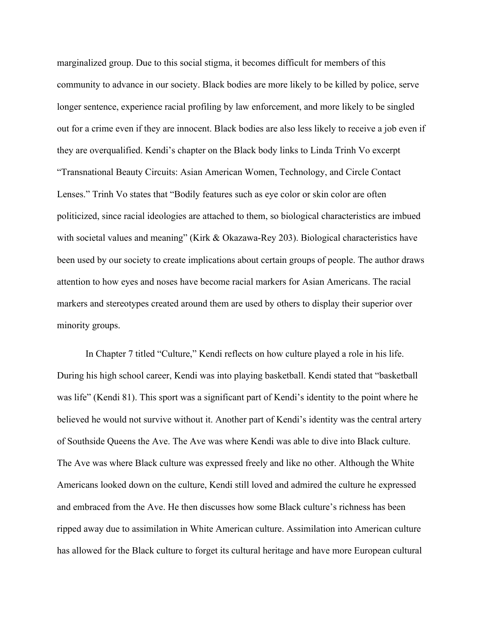marginalized group. Due to this social stigma, it becomes difficult for members of this community to advance in our society. Black bodies are more likely to be killed by police, serve longer sentence, experience racial profiling by law enforcement, and more likely to be singled out for a crime even if they are innocent. Black bodies are also less likely to receive a job even if they are overqualified. Kendi's chapter on the Black body links to Linda Trinh Vo excerpt "Transnational Beauty Circuits: Asian American Women, Technology, and Circle Contact Lenses." Trinh Vo states that "Bodily features such as eye color or skin color are often politicized, since racial ideologies are attached to them, so biological characteristics are imbued with societal values and meaning" (Kirk & Okazawa-Rey 203). Biological characteristics have been used by our society to create implications about certain groups of people. The author draws attention to how eyes and noses have become racial markers for Asian Americans. The racial markers and stereotypes created around them are used by others to display their superior over minority groups.

In Chapter 7 titled "Culture," Kendi reflects on how culture played a role in his life. During his high school career, Kendi was into playing basketball. Kendi stated that "basketball was life" (Kendi 81). This sport was a significant part of Kendi's identity to the point where he believed he would not survive without it. Another part of Kendi's identity was the central artery of Southside Queens the Ave. The Ave was where Kendi was able to dive into Black culture. The Ave was where Black culture was expressed freely and like no other. Although the White Americans looked down on the culture, Kendi still loved and admired the culture he expressed and embraced from the Ave. He then discusses how some Black culture's richness has been ripped away due to assimilation in White American culture. Assimilation into American culture has allowed for the Black culture to forget its cultural heritage and have more European cultural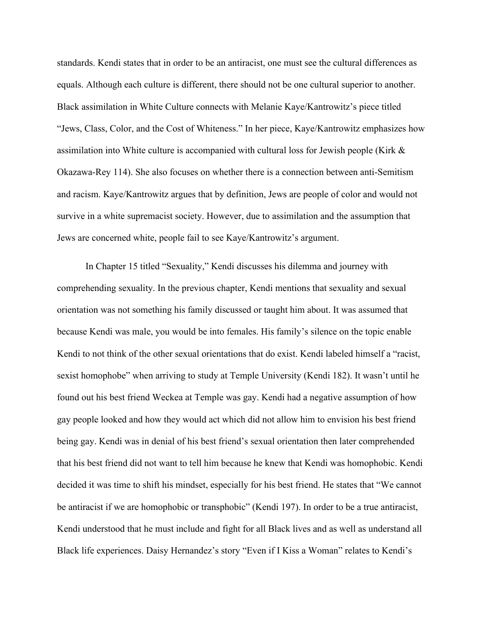standards. Kendi states that in order to be an antiracist, one must see the cultural differences as equals. Although each culture is different, there should not be one cultural superior to another. Black assimilation in White Culture connects with Melanie Kaye/Kantrowitz's piece titled "Jews, Class, Color, and the Cost of Whiteness." In her piece, Kaye/Kantrowitz emphasizes how assimilation into White culture is accompanied with cultural loss for Jewish people (Kirk & Okazawa-Rey 114). She also focuses on whether there is a connection between anti-Semitism and racism. Kaye/Kantrowitz argues that by definition, Jews are people of color and would not survive in a white supremacist society. However, due to assimilation and the assumption that Jews are concerned white, people fail to see Kaye/Kantrowitz's argument.

In Chapter 15 titled "Sexuality," Kendi discusses his dilemma and journey with comprehending sexuality. In the previous chapter, Kendi mentions that sexuality and sexual orientation was not something his family discussed or taught him about. It was assumed that because Kendi was male, you would be into females. His family's silence on the topic enable Kendi to not think of the other sexual orientations that do exist. Kendi labeled himself a "racist, sexist homophobe" when arriving to study at Temple University (Kendi 182). It wasn't until he found out his best friend Weckea at Temple was gay. Kendi had a negative assumption of how gay people looked and how they would act which did not allow him to envision his best friend being gay. Kendi was in denial of his best friend's sexual orientation then later comprehended that his best friend did not want to tell him because he knew that Kendi was homophobic. Kendi decided it was time to shift his mindset, especially for his best friend. He states that "We cannot be antiracist if we are homophobic or transphobic" (Kendi 197). In order to be a true antiracist, Kendi understood that he must include and fight for all Black lives and as well as understand all Black life experiences. Daisy Hernandez's story "Even if I Kiss a Woman" relates to Kendi's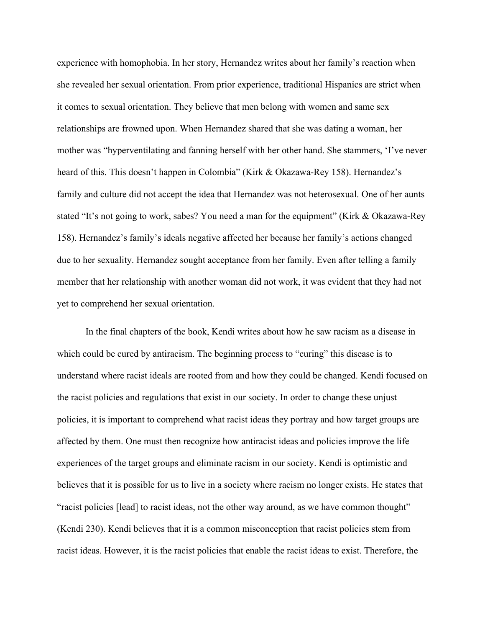experience with homophobia. In her story, Hernandez writes about her family's reaction when she revealed her sexual orientation. From prior experience, traditional Hispanics are strict when it comes to sexual orientation. They believe that men belong with women and same sex relationships are frowned upon. When Hernandez shared that she was dating a woman, her mother was "hyperventilating and fanning herself with her other hand. She stammers, 'I've never heard of this. This doesn't happen in Colombia" (Kirk & Okazawa-Rey 158). Hernandez's family and culture did not accept the idea that Hernandez was not heterosexual. One of her aunts stated "It's not going to work, sabes? You need a man for the equipment" (Kirk & Okazawa-Rey 158). Hernandez's family's ideals negative affected her because her family's actions changed due to her sexuality. Hernandez sought acceptance from her family. Even after telling a family member that her relationship with another woman did not work, it was evident that they had not yet to comprehend her sexual orientation.

In the final chapters of the book, Kendi writes about how he saw racism as a disease in which could be cured by antiracism. The beginning process to "curing" this disease is to understand where racist ideals are rooted from and how they could be changed. Kendi focused on the racist policies and regulations that exist in our society. In order to change these unjust policies, it is important to comprehend what racist ideas they portray and how target groups are affected by them. One must then recognize how antiracist ideas and policies improve the life experiences of the target groups and eliminate racism in our society. Kendi is optimistic and believes that it is possible for us to live in a society where racism no longer exists. He states that "racist policies [lead] to racist ideas, not the other way around, as we have common thought" (Kendi 230). Kendi believes that it is a common misconception that racist policies stem from racist ideas. However, it is the racist policies that enable the racist ideas to exist. Therefore, the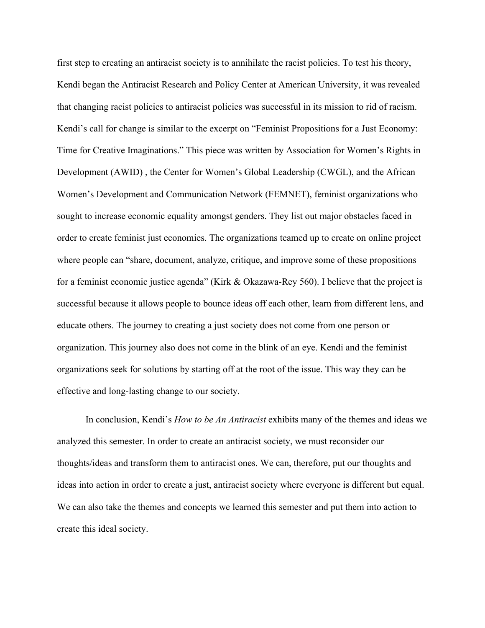first step to creating an antiracist society is to annihilate the racist policies. To test his theory, Kendi began the Antiracist Research and Policy Center at American University, it was revealed that changing racist policies to antiracist policies was successful in its mission to rid of racism. Kendi's call for change is similar to the excerpt on "Feminist Propositions for a Just Economy: Time for Creative Imaginations." This piece was written by Association for Women's Rights in Development (AWID) , the Center for Women's Global Leadership (CWGL), and the African Women's Development and Communication Network (FEMNET), feminist organizations who sought to increase economic equality amongst genders. They list out major obstacles faced in order to create feminist just economies. The organizations teamed up to create on online project where people can "share, document, analyze, critique, and improve some of these propositions for a feminist economic justice agenda" (Kirk & Okazawa-Rey 560). I believe that the project is successful because it allows people to bounce ideas off each other, learn from different lens, and educate others. The journey to creating a just society does not come from one person or organization. This journey also does not come in the blink of an eye. Kendi and the feminist organizations seek for solutions by starting off at the root of the issue. This way they can be effective and long-lasting change to our society.

In conclusion, Kendi's *How to be An Antiracist* exhibits many of the themes and ideas we analyzed this semester. In order to create an antiracist society, we must reconsider our thoughts/ideas and transform them to antiracist ones. We can, therefore, put our thoughts and ideas into action in order to create a just, antiracist society where everyone is different but equal. We can also take the themes and concepts we learned this semester and put them into action to create this ideal society.